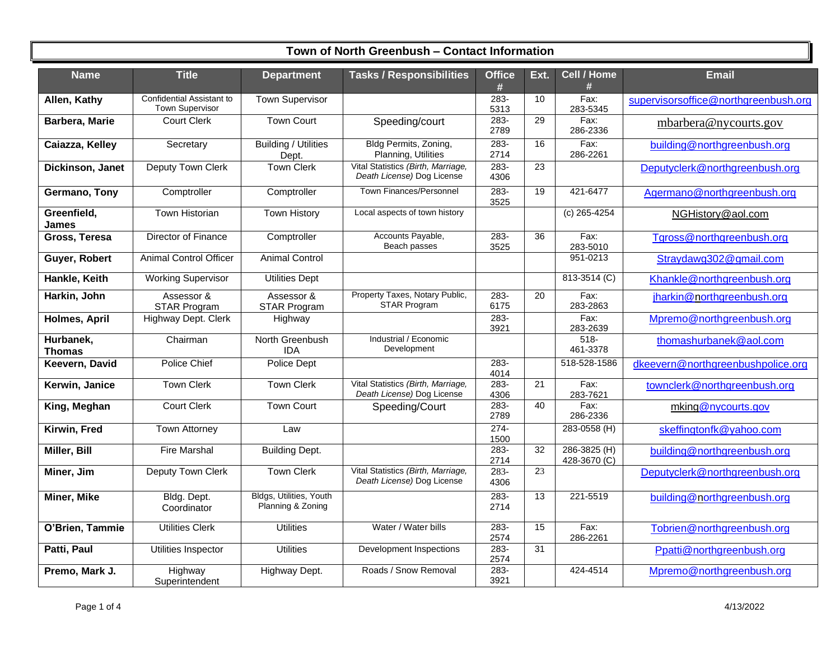| <b>Name</b>                 | <b>Title</b>                                        | <b>Department</b>                            | <b>Tasks / Responsibilities</b>                                  | <b>Office</b><br># | Ext.            | Cell / Home<br>#             | <b>Email</b>                         |
|-----------------------------|-----------------------------------------------------|----------------------------------------------|------------------------------------------------------------------|--------------------|-----------------|------------------------------|--------------------------------------|
| Allen, Kathy                | Confidential Assistant to<br><b>Town Supervisor</b> | <b>Town Supervisor</b>                       |                                                                  | $283 -$<br>5313    | 10              | $Fax$ :<br>283-5345          | supervisorsoffice@northgreenbush.org |
| Barbera, Marie              | <b>Court Clerk</b>                                  | <b>Town Court</b>                            | Speeding/court                                                   | 283-<br>2789       | 29              | Fax:<br>286-2336             | mbarbera@nycourts.gov                |
| Caiazza, Kelley             | Secretary                                           | <b>Building / Utilities</b><br>Dept.         | Bldg Permits, Zoning,<br>Planning, Utilities                     | $283 -$<br>2714    | 16              | $Fax$ :<br>286-2261          | building@northgreenbush.org          |
| Dickinson, Janet            | <b>Deputy Town Clerk</b>                            | <b>Town Clerk</b>                            | Vital Statistics (Birth, Marriage,<br>Death License) Dog License | $283 -$<br>4306    | $\overline{23}$ |                              | Deputyclerk@northgreenbush.org       |
| Germano, Tony               | Comptroller                                         | Comptroller                                  | <b>Town Finances/Personnel</b>                                   | $283 -$<br>3525    | 19              | 421-6477                     | Agermano@northgreenbush.org          |
| Greenfield,<br><b>James</b> | <b>Town Historian</b>                               | <b>Town History</b>                          | Local aspects of town history                                    |                    |                 | $(c)$ 265-4254               | NGHistory@aol.com                    |
| Gross, Teresa               | Director of Finance                                 | Comptroller                                  | Accounts Payable,<br>Beach passes                                | 283-<br>3525       | 36              | Fax:<br>283-5010             | Tgross@northgreenbush.org            |
| Guyer, Robert               | <b>Animal Control Officer</b>                       | <b>Animal Control</b>                        |                                                                  |                    |                 | 951-0213                     | Straydawg302@gmail.com               |
| Hankle, Keith               | <b>Working Supervisor</b>                           | <b>Utilities Dept</b>                        |                                                                  |                    |                 | 813-3514 (C)                 | Khankle@northgreenbush.org           |
| Harkin, John                | Assessor &<br><b>STAR Program</b>                   | Assessor &<br><b>STAR Program</b>            | Property Taxes, Notary Public,<br><b>STAR Program</b>            | 283-<br>6175       | 20              | Fax:<br>283-2863             | jharkin@northgreenbush.org           |
| Holmes, April               | Highway Dept. Clerk                                 | Highway                                      |                                                                  | $283 -$<br>3921    |                 | Fax:<br>283-2639             | Mpremo@northgreenbush.org            |
| Hurbanek,<br><b>Thomas</b>  | Chairman                                            | North Greenbush<br><b>IDA</b>                | Industrial / Economic<br>Development                             |                    |                 | $518 -$<br>461-3378          | thomashurbanek@aol.com               |
| Keevern, David              | Police Chief                                        | Police Dept                                  |                                                                  | $283 -$<br>4014    |                 | 518-528-1586                 | dkeevern@northgreenbushpolice.org    |
| Kerwin, Janice              | <b>Town Clerk</b>                                   | <b>Town Clerk</b>                            | Vital Statistics (Birth, Marriage,<br>Death License) Dog License | 283-<br>4306       | $\overline{21}$ | Fax:<br>283-7621             | townclerk@northgreenbush.org         |
| King, Meghan                | <b>Court Clerk</b>                                  | <b>Town Court</b>                            | Speeding/Court                                                   | 283-<br>2789       | 40              | Fax:<br>286-2336             | mking@nycourts.gov                   |
| Kirwin, Fred                | <b>Town Attorney</b>                                | Law                                          |                                                                  | $274-$<br>1500     |                 | 283-0558 (H)                 | skeffingtonfk@yahoo.com              |
| Miller, Bill                | <b>Fire Marshal</b>                                 | <b>Building Dept.</b>                        |                                                                  | 283-<br>2714       | $\overline{32}$ | 286-3825 (H)<br>428-3670 (C) | building@northgreenbush.org          |
| Miner, Jim                  | Deputy Town Clerk                                   | <b>Town Clerk</b>                            | Vital Statistics (Birth, Marriage,<br>Death License) Dog License | $283 -$<br>4306    | $\overline{23}$ |                              | Deputyclerk@northgreenbush.org       |
| <b>Miner, Mike</b>          | Bldg. Dept.<br>Coordinator                          | Bldgs, Utilities, Youth<br>Planning & Zoning |                                                                  | $283 -$<br>2714    | 13              | 221-5519                     | building@northgreenbush.org          |
| O'Brien, Tammie             | <b>Utilities Clerk</b>                              | <b>Utilities</b>                             | Water / Water bills                                              | 283-<br>2574       | 15              | Fax:<br>286-2261             | Tobrien@northgreenbush.org           |
| Patti, Paul                 | Utilities Inspector                                 | <b>Utilities</b>                             | Development Inspections                                          | 283-<br>2574       | 31              |                              | Ppatti@northgreenbush.org            |
| Premo, Mark J.              | Highway<br>Superintendent                           | Highway Dept.                                | Roads / Snow Removal                                             | $283 -$<br>3921    |                 | 424-4514                     | Mpremo@northgreenbush.org            |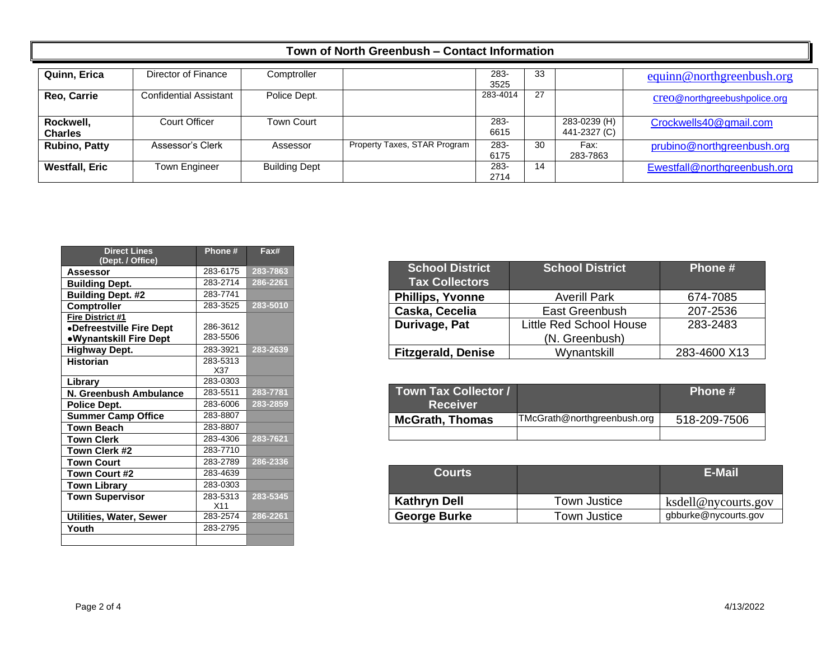| Quinn, Erica                | Director of Finance           | Comptroller          |                              | 283-<br>3525 | 33 |                              | equinn@northgreenbush.org    |
|-----------------------------|-------------------------------|----------------------|------------------------------|--------------|----|------------------------------|------------------------------|
| Reo, Carrie                 | <b>Confidential Assistant</b> | Police Dept.         |                              | 283-4014     | 27 |                              | creo@northgreebushpolice.org |
| Rockwell,<br><b>Charles</b> | Court Officer                 | <b>Town Court</b>    |                              | 283-<br>6615 |    | 283-0239 (H)<br>441-2327 (C) | Crockwells40@gmail.com       |
| <b>Rubino, Patty</b>        | Assessor's Clerk              | Assessor             | Property Taxes, STAR Program | 283-<br>6175 | 30 | Fax:<br>283-7863             | prubino@northgreenbush.org   |
| <b>Westfall, Eric</b>       | Town Engineer                 | <b>Building Dept</b> |                              | 283-<br>2714 | 14 |                              | Ewestfall@northgreenbush.org |

| <b>Direct Lines</b><br>(Dept. / Office) | Phone#   | Fax#         |
|-----------------------------------------|----------|--------------|
| <b>Assessor</b>                         | 283-6175 | 283-7863     |
| <b>Building Dept.</b>                   | 283-2714 | 286-2261     |
| <b>Building Dept. #2</b>                | 283-7741 |              |
| Comptroller                             | 283-3525 | 283-5010     |
| Fire District #1                        |          |              |
| •Defreestville Fire Dept                | 286-3612 |              |
| •Wynantskill Fire Dept                  | 283-5506 |              |
| <b>Highway Dept.</b>                    | 283-3921 | 283-2639     |
| <b>Historian</b>                        | 283-5313 |              |
|                                         | X37      |              |
| Library                                 | 283-0303 |              |
| N. Greenbush Ambulance                  | 283-5511 | 283-7781     |
| Police Dept.                            | 283-6006 | 283-2859     |
| <b>Summer Camp Office</b>               | 283-8807 |              |
| <b>Town Beach</b>                       | 283-8807 |              |
| <b>Town Clerk</b>                       | 283-4306 | 283-7621     |
| Town Clerk #2                           | 283-7710 |              |
| <b>Town Court</b>                       | 283-2789 | $286 - 2336$ |
| Town Court #2                           | 283-4639 |              |
| <b>Town Library</b>                     | 283-0303 |              |
| <b>Town Supervisor</b>                  | 283-5313 | 283-5345     |
|                                         | X11      |              |
| Utilities, Water, Sewer                 | 283-2574 | 286-2261     |
| Youth                                   | 283-2795 |              |
|                                         |          |              |

| <b>School District</b><br><b>Tax Collectors</b> | <b>School District</b>         | Phone #      |
|-------------------------------------------------|--------------------------------|--------------|
| <b>Phillips, Yvonne</b>                         | <b>Averill Park</b>            | 674-7085     |
| Caska, Cecelia                                  | East Greenbush                 | 207-2536     |
| Durivage, Pat                                   | <b>Little Red School House</b> | 283-2483     |
|                                                 | (N. Greenbush)                 |              |
| <b>Fitzgerald, Denise</b>                       | Wynantskill                    | 283-4600 X13 |

| <b>Town Tax Collector /</b><br><b>Receiver</b> |                             | Phone #      |
|------------------------------------------------|-----------------------------|--------------|
| <b>McGrath, Thomas</b>                         | TMcGrath@northgreenbush.org | 518-209-7506 |
|                                                |                             |              |

| <b>Courts</b>       |              | <b>E-Mail</b>        |
|---------------------|--------------|----------------------|
| <b>Kathryn Dell</b> | Town Justice | ksdell@nycourts.gov  |
| <b>George Burke</b> | Town Justice | gbburke@nycourts.gov |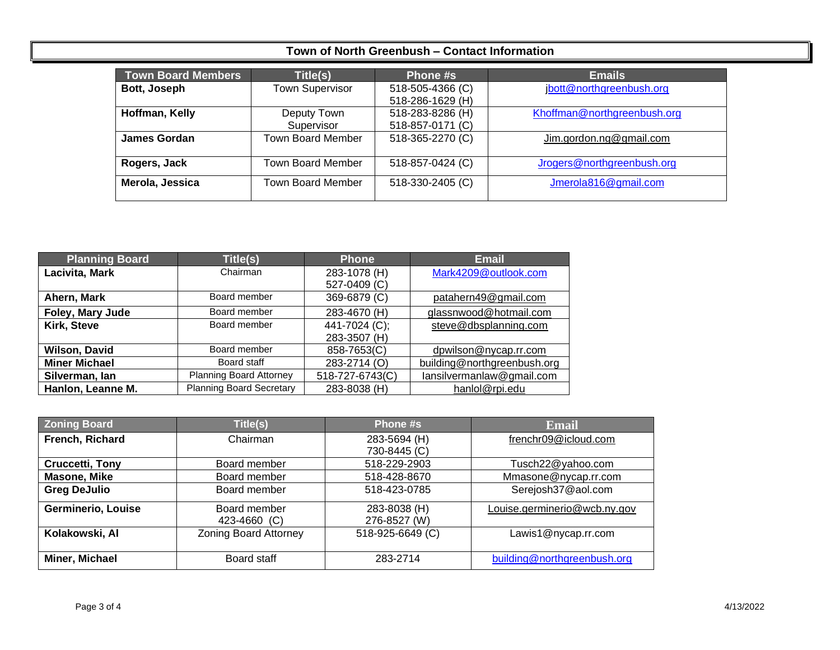| <b>Town Board Members</b> | Title(s)                 | Phone #s         | <b>Emails</b>               |
|---------------------------|--------------------------|------------------|-----------------------------|
| Bott, Joseph              | <b>Town Supervisor</b>   | 518-505-4366 (C) | jbott@northgreenbush.org    |
|                           |                          | 518-286-1629 (H) |                             |
| Hoffman, Kelly            | Deputy Town              | 518-283-8286 (H) | Khoffman@northgreenbush.org |
|                           | Supervisor               | 518-857-0171 (C) |                             |
| James Gordan              | <b>Town Board Member</b> | 518-365-2270 (C) | Jim.gordon.ng@gmail.com     |
| Rogers, Jack              | <b>Town Board Member</b> | 518-857-0424 (C) | Jrogers@northgreenbush.org  |
| Merola, Jessica           | <b>Town Board Member</b> | 518-330-2405 (C) | Jmerola816@gmail.com        |

| <b>Planning Board</b> | Title(s)                        | <b>Phone</b>    | <b>Email</b>                |
|-----------------------|---------------------------------|-----------------|-----------------------------|
| Lacivita, Mark        | Chairman                        | 283-1078 (H)    | Mark4209@outlook.com        |
|                       |                                 | 527-0409 (C)    |                             |
| Ahern, Mark           | Board member                    | 369-6879 (C)    | patahern49@gmail.com        |
| Foley, Mary Jude      | Board member                    | 283-4670 (H)    | glassnwood@hotmail.com      |
| Kirk, Steve           | Board member                    | 441-7024 (C);   | steve@dbsplanning.com       |
|                       |                                 | 283-3507 (H)    |                             |
| <b>Wilson, David</b>  | Board member                    | 858-7653(C)     | dpwilson@nycap.rr.com       |
| <b>Miner Michael</b>  | Board staff                     | 283-2714 (O)    | building@northgreenbush.org |
| Silverman, Ian        | Planning Board Attorney         | 518-727-6743(C) | lansilvermanlaw@gmail.com   |
| Hanlon, Leanne M.     | <b>Planning Board Secretary</b> | 283-8038 (H)    | hanlol@rpi.edu              |

| <b>Zoning Board</b>       | Title(s)                     | Phone #s         | <b>Email</b>                 |
|---------------------------|------------------------------|------------------|------------------------------|
| French, Richard           | Chairman                     | 283-5694 (H)     | frenchr09@icloud.com         |
|                           |                              | 730-8445 (C)     |                              |
| <b>Cruccetti, Tony</b>    | Board member                 | 518-229-2903     | Tusch22@yahoo.com            |
| Masone, Mike              | Board member                 | 518-428-8670     | Mmasone@nycap.rr.com         |
| <b>Greg DeJulio</b>       | Board member                 | 518-423-0785     | Serejosh37@aol.com           |
| <b>Germinerio, Louise</b> | Board member                 | 283-8038 (H)     | Louise.germinerio@wcb.ny.gov |
|                           | 423-4660 (C)                 | 276-8527 (W)     |                              |
| Kolakowski, Al            | <b>Zoning Board Attorney</b> | 518-925-6649 (C) | Lawis1@nycap.rr.com          |
|                           |                              |                  |                              |
| Miner, Michael            | Board staff                  | 283-2714         | building@northgreenbush.org  |